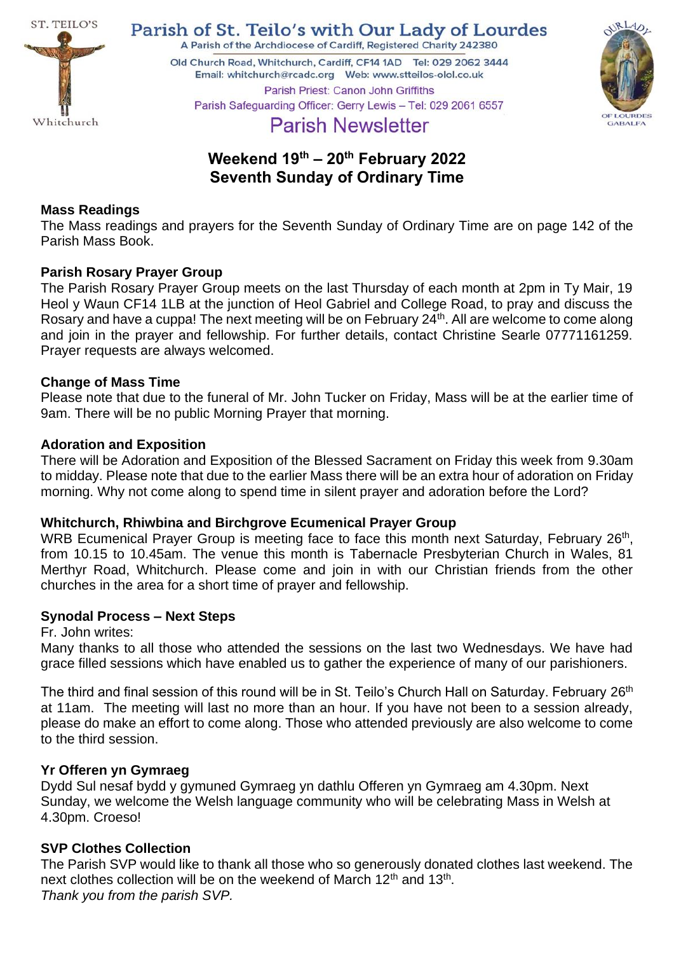

Parish of St. Teilo's with Our Lady of Lourdes

A Parish of the Archdiocese of Cardiff, Registered Charity 242380

Old Church Road, Whitchurch, Cardiff, CF14 1AD Tel: 029 2062 3444 Parish Priest: Canon John Griffiths Parish Safeguarding Officer: Gerry Lewis - Tel: 029 2061 6557



**Parish Newsletter** 

# **Weekend 19 th – 20th February 2022 Seventh Sunday of Ordinary Time**

# **Mass Readings**

The Mass readings and prayers for the Seventh Sunday of Ordinary Time are on page 142 of the Parish Mass Book.

# **Parish Rosary Prayer Group**

The Parish Rosary Prayer Group meets on the last Thursday of each month at 2pm in Ty Mair, 19 Heol y Waun CF14 1LB at the junction of Heol Gabriel and College Road, to pray and discuss the Rosary and have a cuppa! The next meeting will be on February 24<sup>th</sup>. All are welcome to come along and join in the prayer and fellowship. For further details, contact Christine Searle 07771161259. Prayer requests are always welcomed.

# **Change of Mass Time**

Please note that due to the funeral of Mr. John Tucker on Friday, Mass will be at the earlier time of 9am. There will be no public Morning Prayer that morning.

# **Adoration and Exposition**

There will be Adoration and Exposition of the Blessed Sacrament on Friday this week from 9.30am to midday. Please note that due to the earlier Mass there will be an extra hour of adoration on Friday morning. Why not come along to spend time in silent prayer and adoration before the Lord?

# **Whitchurch, Rhiwbina and Birchgrove Ecumenical Prayer Group**

WRB Ecumenical Prayer Group is meeting face to face this month next Saturday, February 26<sup>th</sup>, from 10.15 to 10.45am. The venue this month is Tabernacle Presbyterian Church in Wales, 81 Merthyr Road, Whitchurch. Please come and join in with our Christian friends from the other churches in the area for a short time of prayer and fellowship.

# **Synodal Process – Next Steps**

#### Fr. John writes:

Many thanks to all those who attended the sessions on the last two Wednesdays. We have had grace filled sessions which have enabled us to gather the experience of many of our parishioners.

The third and final session of this round will be in St. Teilo's Church Hall on Saturday. February 26<sup>th</sup> at 11am. The meeting will last no more than an hour. If you have not been to a session already, please do make an effort to come along. Those who attended previously are also welcome to come to the third session.

# **Yr Offeren yn Gymraeg**

Dydd Sul nesaf bydd y gymuned Gymraeg yn dathlu Offeren yn Gymraeg am 4.30pm. Next Sunday, we welcome the Welsh language community who will be celebrating Mass in Welsh at 4.30pm. Croeso!

# **SVP Clothes Collection**

The Parish SVP would like to thank all those who so generously donated clothes last weekend. The next clothes collection will be on the weekend of March 12<sup>th</sup> and 13<sup>th</sup>. *Thank you from the parish SVP.*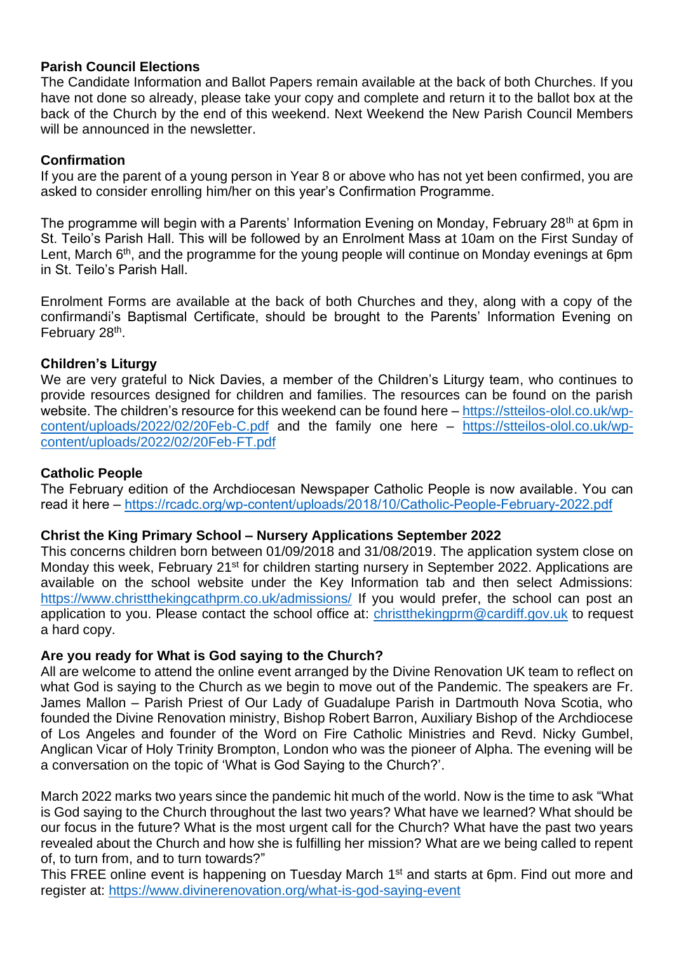#### **Parish Council Elections**

The Candidate Information and Ballot Papers remain available at the back of both Churches. If you have not done so already, please take your copy and complete and return it to the ballot box at the back of the Church by the end of this weekend. Next Weekend the New Parish Council Members will be announced in the newsletter.

#### **Confirmation**

If you are the parent of a young person in Year 8 or above who has not yet been confirmed, you are asked to consider enrolling him/her on this year's Confirmation Programme.

The programme will begin with a Parents' Information Evening on Monday, February 28<sup>th</sup> at 6pm in St. Teilo's Parish Hall. This will be followed by an Enrolment Mass at 10am on the First Sunday of Lent, March 6<sup>th</sup>, and the programme for the young people will continue on Monday evenings at 6pm in St. Teilo's Parish Hall.

Enrolment Forms are available at the back of both Churches and they, along with a copy of the confirmandi's Baptismal Certificate, should be brought to the Parents' Information Evening on February 28<sup>th</sup>.

#### **Children's Liturgy**

We are very grateful to Nick Davies, a member of the Children's Liturgy team, who continues to provide resources designed for children and families. The resources can be found on the parish website. The children's resource for this weekend can be found here – [https://stteilos-olol.co.uk/wp](https://stteilos-olol.co.uk/wp-content/uploads/2022/02/20Feb-C.pdf)[content/uploads/2022/02/20Feb-C.pdf](https://stteilos-olol.co.uk/wp-content/uploads/2022/02/20Feb-C.pdf) and the family one here – [https://stteilos-olol.co.uk/wp](https://stteilos-olol.co.uk/wp-content/uploads/2022/02/20Feb-FT.pdf)[content/uploads/2022/02/20Feb-FT.pdf](https://stteilos-olol.co.uk/wp-content/uploads/2022/02/20Feb-FT.pdf)

#### **Catholic People**

The February edition of the Archdiocesan Newspaper Catholic People is now available. You can read it here – <https://rcadc.org/wp-content/uploads/2018/10/Catholic-People-February-2022.pdf>

# **Christ the King Primary School – Nursery Applications September 2022**

This concerns children born between 01/09/2018 and 31/08/2019. The application system close on Monday this week, February 21<sup>st</sup> for children starting nursery in September 2022. Applications are available on the school website under the Key Information tab and then select Admissions: <https://www.christthekingcathprm.co.uk/admissions/> If you would prefer, the school can post an application to you. Please contact the school office at: [christthekingprm@cardiff.gov.uk](mailto:christthekingprm@cardiff.gov.uk) to request a hard copy.

#### **Are you ready for What is God saying to the Church?**

All are welcome to attend the online event arranged by the Divine Renovation UK team to reflect on what God is saying to the Church as we begin to move out of the Pandemic. The speakers are Fr. James Mallon – Parish Priest of Our Lady of Guadalupe Parish in Dartmouth Nova Scotia, who founded the Divine Renovation ministry, Bishop Robert Barron, Auxiliary Bishop of the Archdiocese of Los Angeles and founder of the Word on Fire Catholic Ministries and Revd. Nicky Gumbel, Anglican Vicar of Holy Trinity Brompton, London who was the pioneer of Alpha. The evening will be a conversation on the topic of 'What is God Saying to the Church?'.

March 2022 marks two years since the pandemic hit much of the world. Now is the time to ask "What is God saying to the Church throughout the last two years? What have we learned? What should be our focus in the future? What is the most urgent call for the Church? What have the past two years revealed about the Church and how she is fulfilling her mission? What are we being called to repent of, to turn from, and to turn towards?"

This FREE online event is happening on Tuesday March 1<sup>st</sup> and starts at 6pm. Find out more and register at: <https://www.divinerenovation.org/what-is-god-saying-event>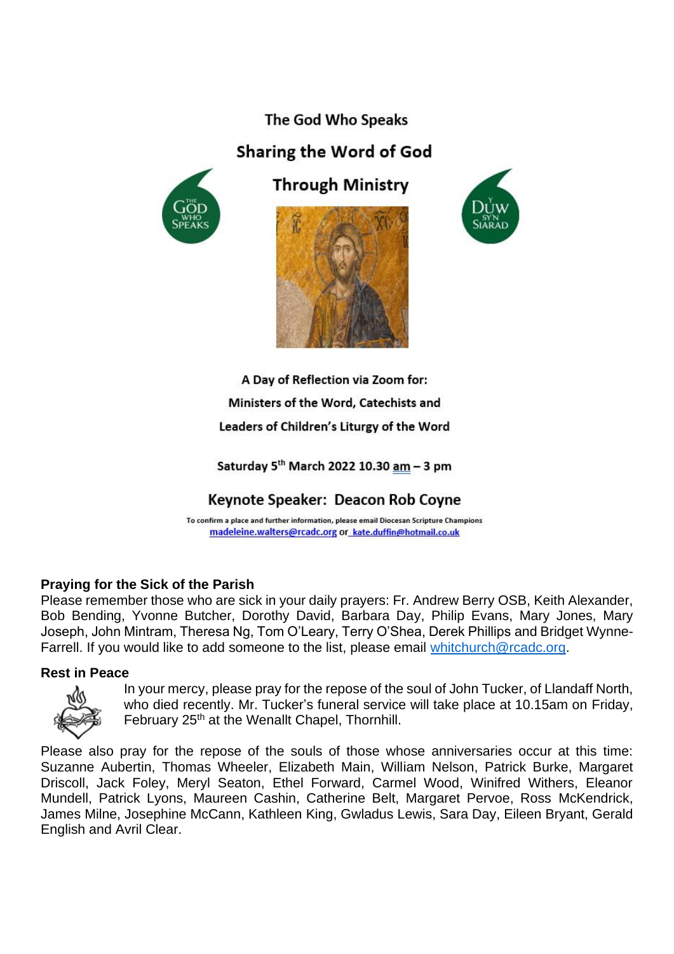# The God Who Speaks

# Sharing the Word of God



**Through Ministry** 





A Day of Reflection via Zoom for: Ministers of the Word, Catechists and Leaders of Children's Liturgy of the Word

Saturday 5<sup>th</sup> March 2022 10.30 am - 3 pm

Keynote Speaker: Deacon Rob Coyne

To confirm a place and further information, please email Diocesan Scripture Champions madeleine.walters@rcadc.org or kate.duffin@hotmail.co.uk

# **Praying for the Sick of the Parish**

Please remember those who are sick in your daily prayers: Fr. Andrew Berry OSB, Keith Alexander, Bob Bending, Yvonne Butcher, Dorothy David, Barbara Day, Philip Evans, Mary Jones, Mary Joseph, John Mintram, Theresa Ng, Tom O'Leary, Terry O'Shea, Derek Phillips and Bridget WynneFarrell. If you would like to add someone to the list, please email [whitchurch@rcadc.org.](mailto:whitchurch@rcadc.org)

# **Rest in Peace**



In your mercy, please pray for the repose of the soul of John Tucker, of Llandaff North, who died recently. Mr. Tucker's funeral service will take place at 10.15am on Friday, February 25<sup>th</sup> at the Wenallt Chapel, Thornhill.

Please also pray for the repose of the souls of those whose anniversaries occur at this time: Suzanne Aubertin, Thomas Wheeler, Elizabeth Main, William Nelson, Patrick Burke, Margaret Driscoll, Jack Foley, Meryl Seaton, Ethel Forward, Carmel Wood, Winifred Withers, Eleanor Mundell, Patrick Lyons, Maureen Cashin, Catherine Belt, Margaret Pervoe, Ross McKendrick, James Milne, Josephine McCann, Kathleen King, Gwladus Lewis, Sara Day, Eileen Bryant, Gerald English and Avril Clear.